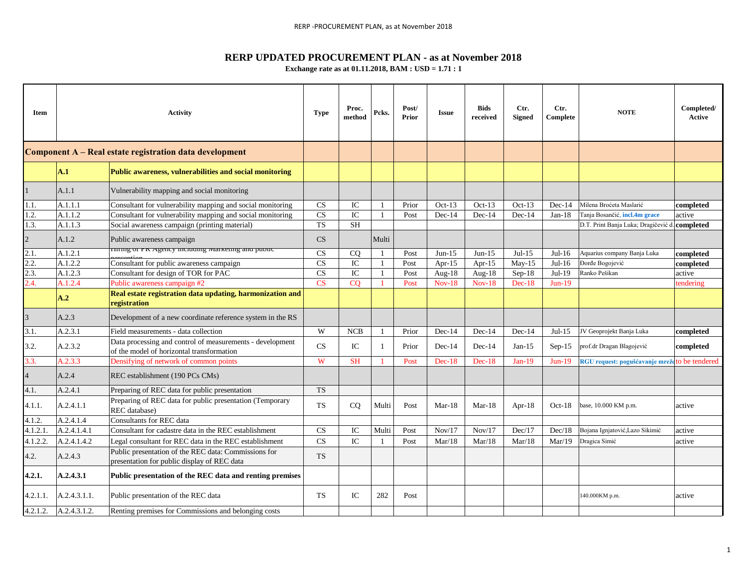| <b>Item</b>    |              | <b>Activity</b>                                                                                        | <b>Type</b> | Proc.<br>method | Pcks. | Post/<br><b>Prior</b> | <b>Issue</b>  | <b>Bids</b><br>received | Ctr.<br><b>Signed</b> | Ctr.<br>Complete | <b>NOTE</b>                                    | Completed/<br><b>Active</b> |
|----------------|--------------|--------------------------------------------------------------------------------------------------------|-------------|-----------------|-------|-----------------------|---------------|-------------------------|-----------------------|------------------|------------------------------------------------|-----------------------------|
|                |              | Component A – Real estate registration data development                                                |             |                 |       |                       |               |                         |                       |                  |                                                |                             |
|                | A.1          | Public awareness, vulnerabilities and social monitoring                                                |             |                 |       |                       |               |                         |                       |                  |                                                |                             |
|                | A.1.1        | Vulnerability mapping and social monitoring                                                            |             |                 |       |                       |               |                         |                       |                  |                                                |                             |
| 1.1.           | A.1.1.1      | Consultant for vulnerability mapping and social monitoring                                             | CS          | IC              |       | Prior                 | $Oct-13$      | $Oct-13$                | $Oct-13$              | $Dec-14$         | Milena Broćeta Maslarić                        | completed                   |
| 1.2.           | A.1.1.2      | Consultant for vulnerability mapping and social monitoring                                             | CS          | IC              |       | Post                  | $Dec-14$      | $Dec-14$                | $Dec-14$              | $Jan-18$         | Tanja Bosančić, incl.4m grace                  | active                      |
| l.3.           | A.1.1.3      | Social awareness campaign (printing material)                                                          | <b>TS</b>   | <b>SH</b>       |       |                       |               |                         |                       |                  | D.T. Print Banja Luka; Dragičević d. completed |                             |
|                | A.1.2        | Public awareness campaign                                                                              | <b>CS</b>   |                 | Multi |                       |               |                         |                       |                  |                                                |                             |
| 2.1.           | A.1.2.1      | mining or FK Agency including with ketting and public<br>recontion                                     | CS          | CQ              |       | Post                  | $Jun-15$      | $Jun-15$                | $Jul-15$              | Jul-16           | Aquarius company Banja Luka                    | completed                   |
| 2.2.           | A.1.2.2      | Consultant for public awareness campaign                                                               | CS          | IC              |       | Post                  | Apr-15        | Apr- $15$               | $May-15$              | $Jul-16$         | Đorđe Bogojević                                | completed                   |
| 2.3.           | A.1.2.3      | Consultant for design of TOR for PAC                                                                   | CS          | IC              |       | Post                  | Aug-18        | Aug-18                  | $Sep-18$              | Jul-19           | Ranko Pešikan                                  | active                      |
| 2.4.           | A.1.2.4      | Public awareness campaign #2                                                                           | CS          | <b>CQ</b>       |       | Post                  | <b>Nov-18</b> | <b>Nov-18</b>           | $Dec-18$              | <b>Jun-19</b>    |                                                | tendering                   |
|                | A.2          | Real estate registration data updating, harmonization and<br>registration                              |             |                 |       |                       |               |                         |                       |                  |                                                |                             |
|                | A.2.3        | Development of a new coordinate reference system in the RS                                             |             |                 |       |                       |               |                         |                       |                  |                                                |                             |
| 3.1.           | A.2.3.1      | Field measurements - data collection                                                                   | W           | <b>NCB</b>      |       | Prior                 | $Dec-14$      | $Dec-14$                | $Dec-14$              | $Jul-15$         | JV Geoprojekt Banja Luka                       | completed                   |
| 3.2.           | A.2.3.2      | Data processing and control of measurements - development<br>of the model of horizontal transformation | CS          | IC              |       | Prior                 | $Dec-14$      | $Dec-14$                | $Jan-15$              | $Sep-15$         | prof.dr Dragan Blagojević                      | completed                   |
| 3.3.           | A.2.3.3      | Densifying of network of common points                                                                 | W           | <b>SH</b>       |       | Post                  | $Dec-18$      | $Dec-18$                | $Jan-19$              | $Jun-19$         | RGU request: pogušćavanje mrežeto be tendered  |                             |
| $\overline{4}$ | A.2.4        | REC establishment (190 PCs CMs)                                                                        |             |                 |       |                       |               |                         |                       |                  |                                                |                             |
| 4.1.           | A.2.4.1      | Preparing of REC data for public presentation                                                          | <b>TS</b>   |                 |       |                       |               |                         |                       |                  |                                                |                             |
| 4.1.1.         | A.2.4.1.1    | Preparing of REC data for public presentation (Temporary<br>REC database)                              | <b>TS</b>   | CQ              | Multi | Post                  | Mar-18        | Mar-18                  | Apr-18                | $Oct-18$         | base, 10.000 KM p.m.                           | active                      |
| 4.1.2.         | A.2.4.1.4    | <b>Consultants for REC data</b>                                                                        |             |                 |       |                       |               |                         |                       |                  |                                                |                             |
| 4.1.2.1.       | A.2.4.1.4.1  | Consultant for cadastre data in the REC establishment                                                  | CS          | IC              | Multi | Post                  | Nov/17        | Nov/17                  | Dec/17                | Dec/18           | Bojana Ignjatović, Lazo Sikimić                | active                      |
| 4.1.2.2.       | A.2.4.1.4.2  | Legal consultant for REC data in the REC establishment                                                 | CS          | IC              |       | Post                  | Mar/18        | Mar/18                  | Mar/18                | Mar/19           | Dragica Simić                                  | active                      |
| 4.2.           | A.2.4.3      | Public presentation of the REC data: Commissions for<br>presentation for public display of REC data    | <b>TS</b>   |                 |       |                       |               |                         |                       |                  |                                                |                             |
| 4.2.1.         | A.2.4.3.1    | Public presentation of the REC data and renting premises                                               |             |                 |       |                       |               |                         |                       |                  |                                                |                             |
| 4.2.1.1.       | A.2.4.3.1.1. | Public presentation of the REC data                                                                    | <b>TS</b>   | IC              | 282   | Post                  |               |                         |                       |                  | 140.000KM p.m.                                 | active                      |
| 4.2.1.2.       | A.2.4.3.1.2. | Renting premises for Commissions and belonging costs                                                   |             |                 |       |                       |               |                         |                       |                  |                                                |                             |

## **RERP UPDATED PROCUREMENT PLAN - as at November 2018**

**Exchange rate as at 01.11.2018, BAM : USD = 1.71 : 1**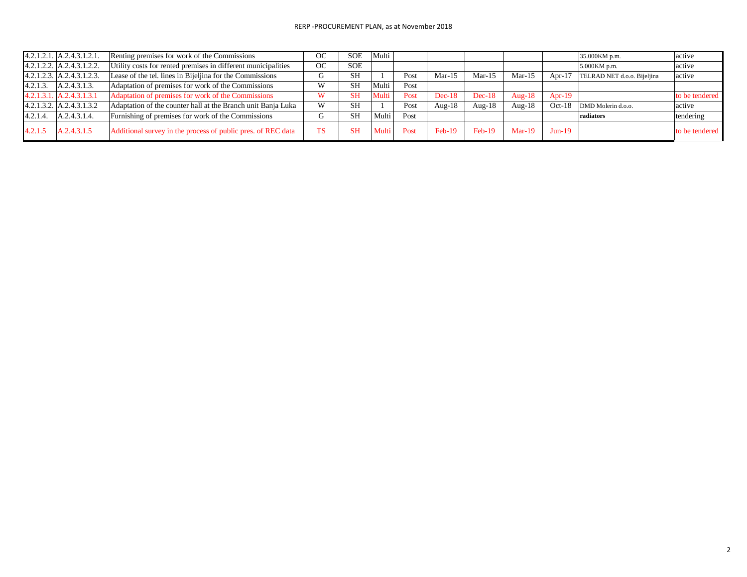| $4.2.1.2.1$ . $A.2.4.3.1.2.1$ .     | Renting premises for work of the Commissions                  | <b>OC</b> | SOE       | Multi        |      |           |           |           |           | 35.000KM p.m.               | active         |
|-------------------------------------|---------------------------------------------------------------|-----------|-----------|--------------|------|-----------|-----------|-----------|-----------|-----------------------------|----------------|
| $4.2.1.2.2$ . $A.2.4.3.1.2.2$ .     | Utility costs for rented premises in different municipalities | OC        | SOE       |              |      |           |           |           |           | $5.000$ KM p.m.             | active         |
| 4.2.1.2.3. A.2.4.3.1.2.3.           | Lease of the tel. lines in Bijeljina for the Commissions      |           | <b>SH</b> |              | Post | Mar-15    | $Mar-15$  | Mar- $15$ | Apr- $17$ | TELRAD NET d.o.o. Bijeljina | active         |
| 4.2.1.3.<br>A.2.4.3.1.3.            | Adaptation of premises for work of the Commissions            | W         | <b>SH</b> | Multi        | Post |           |           |           |           |                             |                |
| $4.2.1.3.1$ . $A.2.4.3.1.3.1$       | Adaptation of premises for work of the Commissions            | W         | <b>SH</b> | Multi        | Post | $Dec-18$  | $Dec-18$  | $Aug-18$  | Apr-19    |                             | to be tendered |
| $ 4.2.1.3.2. \text{A}.2.4.3.1.3.2 $ | Adaptation of the counter hall at the Branch unit Banja Luka  | W         | <b>SH</b> |              | Post | Aug- $18$ | Aug- $18$ | Aug- $18$ | $Oct-18$  | DMD Molerin d.o.o.          | active         |
| 4.2.1.4.<br>A.2.4.3.1.4.            | Furnishing of premises for work of the Commissions            |           | <b>SH</b> | Multi        | Post |           |           |           |           | radiators                   | tendering      |
| 4.2.1.5<br>A.2.4.3.1.5              | Additional survey in the process of public pres. of REC data  | <b>TS</b> | <b>SH</b> | <b>Multi</b> | Post | $Feb-19$  | $Feb-19$  | $Mar-19$  | $Jun-19$  |                             | to be tendered |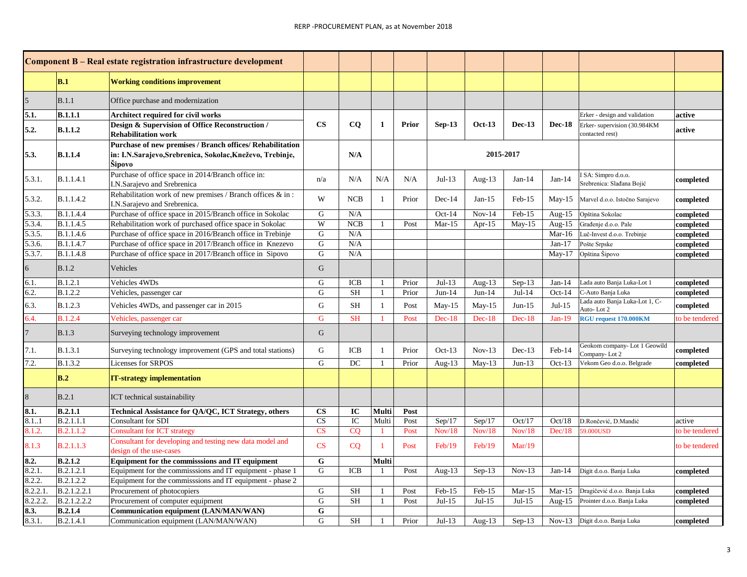|                |                    | Component B – Real estate registration infrastructure development                                                                |               |            |              |              |           |               |               |               |                                                  |                |
|----------------|--------------------|----------------------------------------------------------------------------------------------------------------------------------|---------------|------------|--------------|--------------|-----------|---------------|---------------|---------------|--------------------------------------------------|----------------|
|                | B.1                | <b>Working conditions improvement</b>                                                                                            |               |            |              |              |           |               |               |               |                                                  |                |
| $\overline{5}$ | B.1.1              | Office purchase and modernization                                                                                                |               |            |              |              |           |               |               |               |                                                  |                |
| 5.1.           | $\vert$ B.1.1.1    | Architect required for civil works                                                                                               |               |            |              |              |           |               |               |               | Erker - design and validation                    | active         |
| 5.2.           | B.1.1.2            | Design & Supervision of Office Reconstruction /<br><b>Rehabilitation work</b>                                                    | <b>CS</b>     | CQ         | $\mathbf{1}$ | <b>Prior</b> | $Sep-13$  | <b>Oct-13</b> | <b>Dec-13</b> | <b>Dec-18</b> | Erker- supervision (30.984KM)<br>contacted rest) | active         |
| 5.3.           | B.1.1.4            | Purchase of new premises / Branch offices/ Rehabilitation<br>in: I.N.Sarajevo, Srebrenica, Sokolac, Kneževo, Trebinje,<br>Sipovo |               | N/A        |              |              |           |               | 2015-2017     |               |                                                  |                |
| 5.3.1.         | B.1.1.4.1          | Purchase of office space in 2014/Branch office in:<br>I.N.Sarajevo and Srebrenica                                                | n/a           | N/A        | N/A          | N/A          | $Jul-13$  | Aug- $13$     | $Jan-14$      | $Jan-14$      | I SA: Simpro d.o.o.<br>Srebrenica: Slađana Bojić | completed      |
| 5.3.2.         | B.1.1.4.2          | Rehabilitation work of new premises / Branch offices $\&$ in :<br>I.N.Sarajevo and Srebrenica.                                   | W             | <b>NCB</b> |              | Prior        | $Dec-14$  | $Jan-15$      | Feb-15        | $May-15$      | Marvel d.o.o. Istočno Sarajevo                   | completed      |
| 5.3.3.         | <b>B.1.1.4.4</b>   | Purchase of office space in 2015/Branch office in Sokolac                                                                        | G             | N/A        |              |              | $Oct-14$  | $Nov-14$      | Feb-15        | Aug- $15$     | Opština Sokolac                                  | completed      |
| 5.3.4.         | B.1.1.4.5          | Rehabilitation work of purchased office space in Sokolac                                                                         | W             | <b>NCB</b> |              | Post         | $Mar-15$  | Apr- $15$     | $May-15$      | Aug- $15$     | Građenje d.o.o. Pale                             | completed      |
| 5.3.5.         | B.1.1.4.6          | Purchase of office space in 2016/Branch office in Trebinje                                                                       | G             | N/A        |              |              |           |               |               | Mar-16        | Luč-Invest d.o.o. Trebinje                       | completed      |
| 5.3.6.         | <b>B.1.1.4.7</b>   | Purchase of office space in 2017/Branch office in Knezevo                                                                        | G             | N/A        |              |              |           |               |               | $Jan-17$      | Pošte Srpske                                     | completed      |
| 5.3.7.         | B.1.1.4.8          | Purchase of office space in 2017/Branch office in Sipovo                                                                         | G             | N/A        |              |              |           |               |               | $May-17$      | Opština Šipovo                                   | completed      |
| 6              | B.1.2              | Vehicles                                                                                                                         | G             |            |              |              |           |               |               |               |                                                  |                |
| 6.1.           | B.1.2.1            | <b>Vehicles 4WDs</b>                                                                                                             | G             | <b>ICB</b> | -1           | Prior        | $Jul-13$  | Aug- $13$     | $Sep-13$      | Jan- $14$     | Lada auto Banja Luka-Lot 1                       | completed      |
| 6.2.           | B.1.2.2            | Vehicles, passenger car                                                                                                          | G             | <b>SH</b>  | $\mathbf{1}$ | Prior        | $Jun-14$  | $Jun-14$      | $Jul-14$      | $Oct-14$      | C-Auto Banja Luka                                | completed      |
| 6.3.           | B.1.2.3            | Vehicles 4WDs, and passenger car in 2015                                                                                         | G             | <b>SH</b>  |              | Post         | May-15    | May-15        | $Jun-15$      | $Jul-15$      | Lada auto Banja Luka-Lot 1, C-<br>Auto-Lot 2     | completed      |
| 6.4.           | <b>B.1.2.4</b>     | Vehicles, passenger car                                                                                                          | G             | <b>SH</b>  |              | Post         | $Dec-18$  | $Dec-18$      | Dec-18        | $Jan-19$      | RGU request 170.000KM                            | to be tendered |
| $\overline{7}$ | B.1.3              | Surveying technology improvement                                                                                                 | G             |            |              |              |           |               |               |               |                                                  |                |
| 7.1.           | B.1.3.1            | Surveying technology improvement (GPS and total stations)                                                                        | G             | <b>ICB</b> |              | Prior        | $Oct-13$  | $Nov-13$      | $Dec-13$      | Feb-14        | Geokom company-Lot 1 Geowild<br>Company-Lot 2    | completed      |
| 7.2.           | B.1.3.2            | Licenses for SRPOS                                                                                                               | G             | DC         |              | Prior        | Aug- $13$ | May-13        | $Jun-13$      | $Oct-13$      | Vekom Geo d.o.o. Belgrade                        | completed      |
|                | $\mathbf{B.2}$     | <b>IT-strategy implementation</b>                                                                                                |               |            |              |              |           |               |               |               |                                                  |                |
| 8              | B.2.1              | ICT technical sustainability                                                                                                     |               |            |              |              |           |               |               |               |                                                  |                |
| 8.1.           | $\vert$ B.2.1.1    | Technical Assistance for QA/QC, ICT Strategy, others                                                                             | $\mathbf{CS}$ | IC         | <b>Multi</b> | Post         |           |               |               |               |                                                  |                |
| 8.11           | B.2.1.1.1          | <b>Consultant for SDI</b>                                                                                                        | <b>CS</b>     | IC         | Multi        | Post         | Sep/17    | Sep/17        | Oct/17        | Oct/18        | D.Rončević, D.Mandić                             | active         |
| 8.1.2.         | <b>B.2.1.1.2</b>   | <b>Consultant for ICT strategy</b>                                                                                               | <b>CS</b>     | <b>CQ</b>  |              | Post         | Nov/18    | Nov/18        | Nov/18        | Dec/18        | 59.000USD                                        | to be tendered |
| 8.1.3          | B.2.1.1.3          | Consultant for developing and testing new data model and<br>design of the use-cases                                              | <b>CS</b>     | <b>CQ</b>  |              | Post         | Feb/19    | Feb/19        | Mar/19        |               |                                                  | to be tendered |
| 8.2.           | B.2.1.2            | Equipment for the commissions and IT equipment                                                                                   | G             |            | <b>Multi</b> |              |           |               |               |               |                                                  |                |
| 8.2.1.         | B.2.1.2.1          | Equipment for the commissions and IT equipment - phase 1                                                                         | G             | <b>ICB</b> |              | Post         | Aug- $13$ | Sep-13        | $Nov-13$      | Jan- $14$     | Digit d.o.o. Banja Luka                          | completed      |
| 8.2.2.         | B.2.1.2.2          | Equipment for the commissions and IT equipment - phase 2                                                                         |               |            |              |              |           |               |               |               |                                                  |                |
| 8.2.2.1        | B.2.1.2.2.1        | Procurement of photocopiers                                                                                                      | G             | <b>SH</b>  |              | Post         | Feb-15    | $Feb-15$      | Mar- $15$     | Mar- $15$     | Dragičević d.o.o. Banja Luka                     | completed      |
| 8.2.2.2.       | B.2.1.2.2.2        | Procurement of computer equipment                                                                                                | G             | <b>SH</b>  |              | Post         | $Jul-15$  | $Jul-15$      | $Jul-15$      | Aug-15        | Prointer d.o.o. Banja Luka                       | completed      |
| 8.3.           | $\mathbf{B.2.1.4}$ | <b>Communication equipment (LAN/MAN/WAN)</b>                                                                                     | G             |            |              |              |           |               |               |               |                                                  |                |
| 8.3.1.         | B.2.1.4.1          | Communication equipment (LAN/MAN/WAN)                                                                                            | G             | <b>SH</b>  |              | Prior        | $Jul-13$  | Aug- $13$     | $Sep-13$      |               | Nov-13   Digit d.o.o. Banja Luka                 | completed      |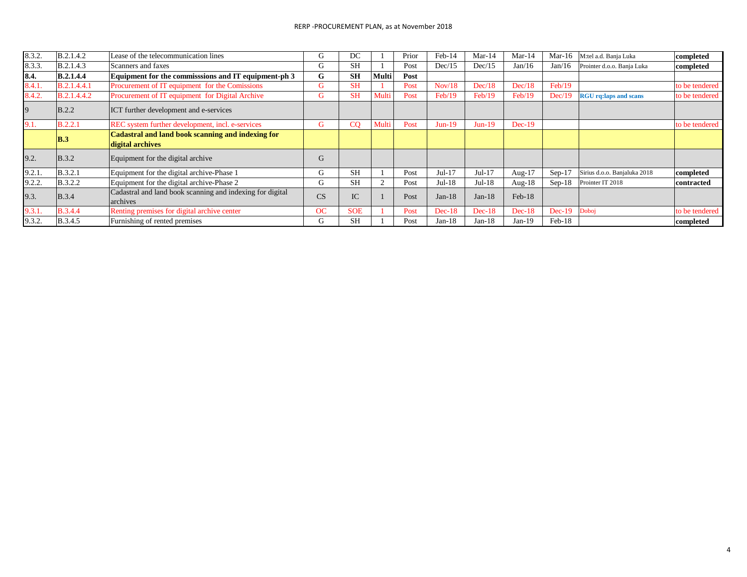| 8.3.2. | B.2.1.4.2          | Lease of the telecommunication lines                                  | G            | DC         |              | Prior | Feb-14   | Mar- $14$     | Mar- $14$ | Mar-16   | M:tel a.d. Banja Luka        | completed      |
|--------|--------------------|-----------------------------------------------------------------------|--------------|------------|--------------|-------|----------|---------------|-----------|----------|------------------------------|----------------|
| 8.3.3. | B.2.1.4.3          | Scanners and faxes                                                    | G            | <b>SH</b>  |              | Post  | Dec/15   | Dec/15        | Jan/16    | Jan/16   | Prointer d.o.o. Banja Luka   | completed      |
| 8.4.   | <b>B.2.1.4.4</b>   | Equipment for the commisssions and IT equipment-ph 3                  | G            | <b>SH</b>  | <b>Multi</b> | Post  |          |               |           |          |                              |                |
| 8.4.1. | B.2.1.4.4.1        | Procurement of IT equipment for the Comissions                        | $\mathbf{G}$ | <b>SH</b>  |              | Post  | Nov/18   | Dec/18        | Dec/18    | Feb/19   |                              | to be tendered |
| 8.4.2. | <b>B.2.1.4.4.2</b> | Procurement of IT equipment for Digital Archive                       | G.           | <b>SH</b>  | Multi        | Post  | Feb/19   | Feb/19        | Feb/19    | Dec/19   | <b>RGU</b> rq:laps and scans | to be tendered |
| 9      | B.2.2              | ICT further development and e-services                                |              |            |              |       |          |               |           |          |                              |                |
| 9.1.   | <b>B.2.2.1</b>     | REC system further development, incl. e-services                      | G            | <b>CQ</b>  | Multi        | Post  | $Jun-19$ | <b>Jun-19</b> | $Dec-19$  |          |                              | to be tendered |
|        | B.3                | Cadastral and land book scanning and indexing for<br>digital archives |              |            |              |       |          |               |           |          |                              |                |
| 9.2.   | $\vert$ B.3.2      | Equipment for the digital archive                                     | G            |            |              |       |          |               |           |          |                              |                |
| 9.2.1. | B.3.2.1            | Equipment for the digital archive-Phase 1                             | G.           | <b>SH</b>  |              | Post  | $Jul-17$ | Jul-17        | Aug- $17$ | $Sep-17$ | Sirius d.o.o. Banjaluka 2018 | completed      |
| 9.2.2. | <b>B.3.2.2</b>     | Equipment for the digital archive-Phase 2                             | G            | <b>SH</b>  | 2            | Post  | $Jul-18$ | $Jul-18$      | Aug- $18$ | $Sep-18$ | Prointer IT 2018             | contracted     |
| 9.3.   | B.3.4              | Cadastral and land book scanning and indexing for digital<br>archives | <b>CS</b>    | IC         |              | Post  | Jan-18   | Jan-18        | $Feb-18$  |          |                              |                |
| 9.3.1. | <b>B.3.4.4</b>     | Renting premises for digital archive center                           | <b>OC</b>    | <b>SOE</b> |              | Post  | $Dec-18$ | $Dec-18$      | $Dec-18$  | $Dec-19$ | Doboj                        | to be tendered |
| 9.3.2. | B.3.4.5            | Furnishing of rented premises                                         | G            | <b>SH</b>  |              | Post  | Jan-18   | Jan-18        | Jan-19    | Feb-18   |                              | completed      |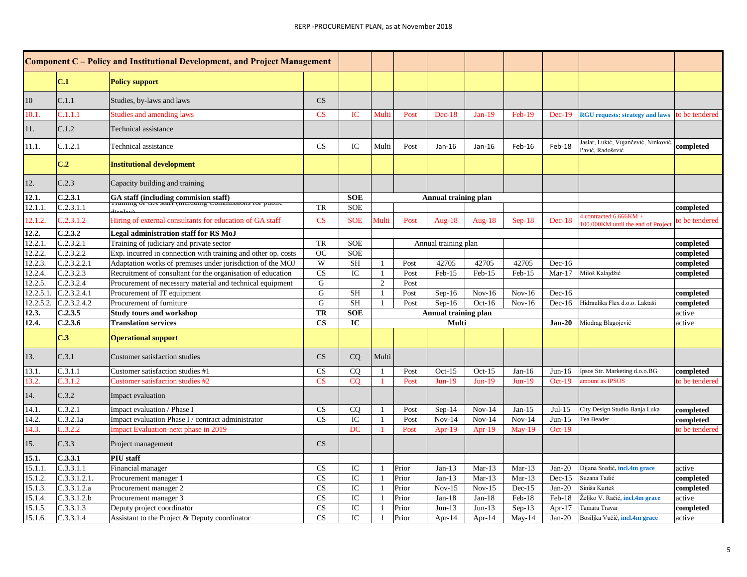|                |              | Component C – Policy and Institutional Development, and Project Management                     |           |            |       |       |                             |           |               |               |                                                                |                |
|----------------|--------------|------------------------------------------------------------------------------------------------|-----------|------------|-------|-------|-----------------------------|-----------|---------------|---------------|----------------------------------------------------------------|----------------|
|                | C.1          | <b>Policy support</b>                                                                          |           |            |       |       |                             |           |               |               |                                                                |                |
| 10             | C.1.1        | Studies, by-laws and laws                                                                      | CS        |            |       |       |                             |           |               |               |                                                                |                |
| 10.1.          | C.1.1.1      | <b>Studies and amending laws</b>                                                               | CS        | IC         | Multi | Post  | $Dec-18$                    | $Jan-19$  | <b>Feb-19</b> | $Dec-19$      | <b>RGU</b> requests: strategy and laws                         | to be tendered |
| 11.            | C.1.2        | <b>Technical assistance</b>                                                                    |           |            |       |       |                             |           |               |               |                                                                |                |
| 11.1.          | C.1.2.1      | <b>Technical assistance</b>                                                                    | <b>CS</b> | IC         | Multi | Post  | Jan-16                      | Jan-16    | Feb-16        | Feb-18        | Jaslar, Lukić, Vujančević, Ninković,<br>Pavić, Radošević       | completed      |
|                | C.2          | <b>Institutional development</b>                                                               |           |            |       |       |                             |           |               |               |                                                                |                |
| 12.            | C.2.3        | Capacity building and training                                                                 |           |            |       |       |                             |           |               |               |                                                                |                |
| 12.1.          | C.2.3.1      | GA staff (including commision staff)<br>Training of GA starf (including Commissions for public |           | <b>SOE</b> |       |       | <b>Annual training plan</b> |           |               |               |                                                                |                |
| 12.1.1         | C.2.3.1.1    | $1:$ and $\ldots$                                                                              | <b>TR</b> | <b>SOE</b> |       |       |                             |           |               |               |                                                                | completed      |
| 12.1.2.        | C.2.3.1.2    | Hiring of external consultants for education of GA staff                                       | <b>CS</b> | <b>SOE</b> | Multi | Post  | Aug- $18$                   | Aug- $18$ | $Sep-18$      | $Dec-18$      | 4 contracted $6.666KM +$<br>100.000KM until the end of Project | to be tendered |
| 12.2.          | C.2.3.2      | <b>Legal administration staff for RS MoJ</b>                                                   |           |            |       |       |                             |           |               |               |                                                                |                |
| 12.2.1.        | C.2.3.2.1    | Training of judiciary and private sector                                                       | <b>TR</b> | <b>SOE</b> |       |       | Annual training plan        |           |               |               |                                                                | completed      |
| 12.2.2.        | C.2.3.2.2    | Exp. incurred in connection with training and other op. costs                                  | <b>OC</b> | <b>SOE</b> |       |       |                             |           |               |               |                                                                | completed      |
| 12.2.3.        | C.2.3.2.2.1  | Adaptation works of premises under jurisdiction of the MOJ                                     | W         | <b>SH</b>  |       | Post  | 42705                       | 42705     | 42705         | $Dec-16$      |                                                                | completed      |
| 12.2.4         | C.2.3.2.3    | Recruitment of consultant for the organisation of education                                    | CS        | IC         |       | Post  | Feb-15                      | Feb-15    | Feb-15        | Mar- $17$     | Miloš Kalajdžić                                                | completed      |
| 12.2.5         | C.2.3.2.4    | Procurement of necessary material and technical equipment                                      | G         |            | 2     | Post  |                             |           |               |               |                                                                |                |
| 12.2.5.1       | C.2.3.2.4.1  | Procurement of IT equipment                                                                    | G         | <b>SH</b>  |       | Post  | $Sep-16$                    | $Nov-16$  | $Nov-16$      | $Dec-16$      |                                                                | completed      |
| 12.2.5.2.      | C.2.3.2.4.2  | Procurement of furniture                                                                       | G         | <b>SH</b>  |       | Post  | $Sep-16$                    | $Oct-16$  | $Nov-16$      | $Dec-16$      | Hidraulika Flex d.o.o. Laktaši                                 | completed      |
| 12.3.          | C.2.3.5      | <b>Study tours and workshop</b>                                                                | <b>TR</b> | <b>SOE</b> |       |       | <b>Annual training plan</b> |           |               |               |                                                                | active         |
| 12.4.          | C.2.3.6      | <b>Translation services</b>                                                                    | <b>CS</b> | IC         |       |       | Multi                       |           |               | $Jan-20$      | Miodrag Blagojević                                             | active         |
|                | C.3          | <b>Operational support</b>                                                                     |           |            |       |       |                             |           |               |               |                                                                |                |
| $\frac{1}{13}$ | C.3.1        | <b>Customer satisfaction studies</b>                                                           | <b>CS</b> | CQ         | Multi |       |                             |           |               |               |                                                                |                |
| 13.1.          | C.3.1.1      | Customer satisfaction studies #1                                                               | CS        | CQ         |       | Post  | $Oct-15$                    | $Oct-15$  | $Jan-16$      | $Jun-16$      | Ipsos Str. Marketing d.o.o.BG                                  | completed      |
| 13.2.          | C.3.1.2      | Customer satisfaction studies #2                                                               | CS        | <b>CQ</b>  |       | Post  | $Jun-19$                    | $Jun-19$  | $Jun-19$      | <b>Oct-19</b> | amount as IPSOS                                                | to be tendered |
| 14.            | C.3.2        | Impact evaluation                                                                              |           |            |       |       |                             |           |               |               |                                                                |                |
| 14.1.          | C.3.2.1      | Impact evaluation / Phase I                                                                    | CS        | CQ         |       | Post  | $Sep-14$                    | $Nov-14$  | $Jan-15$      | $Jul-15$      | City Design Studio Banja Luka                                  | completed      |
| 14.2.          | C.3.2.1a     | Impact evaluation Phase I / contract administrator                                             | <b>CS</b> | IC         |       | Post  | $Nov-14$                    | $Nov-14$  | $Nov-14$      | $Jun-15$      | Tea Beader                                                     | completed      |
| 14.3.          | C.3.2.2      | <b>Impact Evaluation-next phase in 2019</b>                                                    |           | DC         |       | Post  | $Apr-19$                    | $Apr-19$  | $May-19$      | <b>Oct-19</b> |                                                                | to be tendered |
| 15.            | C.3.3        | Project management                                                                             | <b>CS</b> |            |       |       |                             |           |               |               |                                                                |                |
| 15.1.          | C.3.3.1      | <b>PIU</b> staff                                                                               |           |            |       |       |                             |           |               |               |                                                                |                |
| 15.1.1.        | C.3.3.1.1    | Financial manager                                                                              | CS        | ${\rm IC}$ |       | Prior | Jan-13                      | Mar- $13$ | Mar- $13$     | $Jan-20$      | Dijana Sredić, incl.4m grace                                   | active         |
| 15.1.2.        | C.3.3.1.2.1. | Procurement manager 1                                                                          | CS        | IC         |       | Prior | $Jan-13$                    | Mar- $13$ | $Mar-13$      | $Dec-15$      | Suzana Tadić                                                   | completed      |
| 15.1.3.        | C.3.3.1.2.a  | Procurement manager 2                                                                          | CS        | IC         |       | Prior | $Nov-15$                    | $Nov-15$  | $Dec-15$      | $Jan-20$      | Siniša Kurteš                                                  | completed      |
| 15.1.4.        | C.3.3.1.2.b  | Procurement manager 3                                                                          | CS        | IC         |       | Prior | Jan-18                      | Jan-18    | Feb-18        | Feb-18        | Željko V. Račić, incl.4m grace                                 | active         |
| 15.1.5.        | C.3.3.1.3    | Deputy project coordinator                                                                     | CS        | IC         |       | Prior | $Jun-13$                    | $Jun-13$  | $Sep-13$      | Apr- $17$     | Tamara Travar                                                  | completed      |
| 15.1.6.        | C.3.3.1.4    | Assistant to the Project & Deputy coordinator                                                  | CS        | IC         |       | Prior | Apr-14                      | Apr-14    | May-14        | Jan-20        | Bosiljka Vučić, incl.4m grace                                  | active         |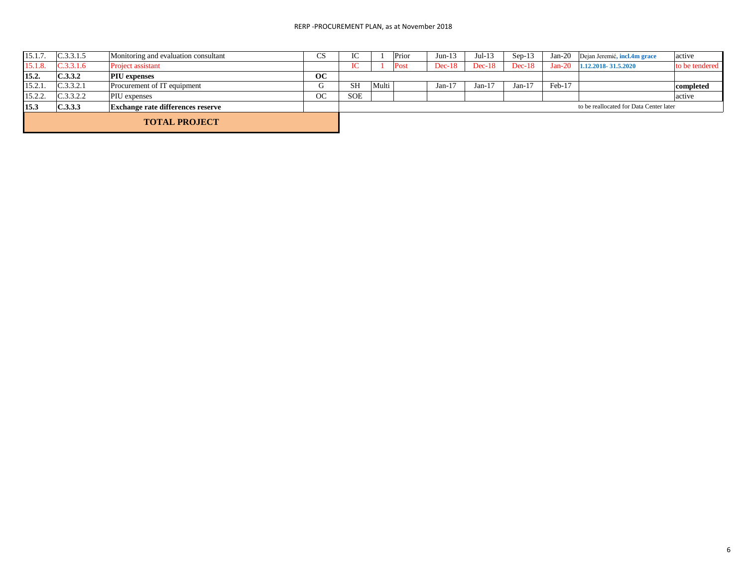| 15.1.7  | C.3.3.1.5       | Monitoring and evaluation consultant     | $\cap$<br>w | IC         |       | Prior | $Jun-13$  | $Jul-13$ | $Sep-13$ | $Jan-20$ | Dejan Jeremić, incl.4m grace            | active         |
|---------|-----------------|------------------------------------------|-------------|------------|-------|-------|-----------|----------|----------|----------|-----------------------------------------|----------------|
| 15.1.8. | C.3.3.1.6       | Project assistant                        |             | IC         |       | Post  | $Dec-18$  | $Dec-18$ | $Dec-18$ | $Jan-20$ | $1.12.2018 - 31.5.2020$                 | to be tendered |
| 15.2.   | C.3.3.2         | <b>PIU</b> expenses                      | OC          |            |       |       |           |          |          |          |                                         |                |
| 15.2.1. | C.3.3.2.1       | Procurement of IT equipment              |             | <b>SH</b>  | Multi |       | Jan- $17$ | Jan-17   | $Jan-17$ | Feb-17   |                                         | completed      |
| 15.2.2. | C.3.3.2.2       | <b>PIU</b> expenses                      | <b>OC</b>   | <b>SOE</b> |       |       |           |          |          |          |                                         | active         |
| 15.3    | $\vert$ C.3.3.3 | <b>Exchange rate differences reserve</b> |             |            |       |       |           |          |          |          | to be reallocated for Data Center later |                |
|         |                 | <b>TOTAL PROJECT</b>                     |             |            |       |       |           |          |          |          |                                         |                |